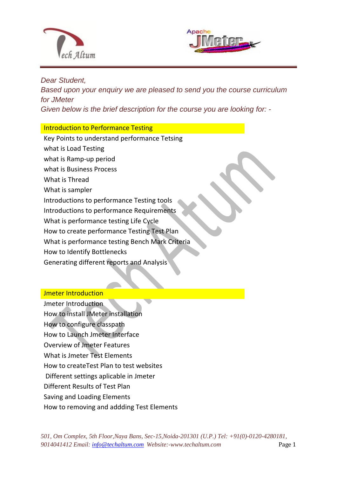



### *Dear Student,*

*Based upon your enquiry we are pleased to send you the course curriculum for JMeter Given below is the brief description for the course you are looking for: -*

## Introduction to Performance Testing

 $\overline{a}$ 

Key Points to understand performance Tetsing what is Load Testing what is Ramp-up period what is Business Process What is Thread What is sampler Introductions to performance Testing tools Introductions to performance Requirements What is performance testing Life Cycle How to create performance Testing Test Plan What is performance testing Bench Mark Criteria How to Identify Bottlenecks Generating different reports and Analysis

## Jmeter Introduction

Jmeter Introduction How to install JMeter installation How to configure classpath How to Launch Jmeter Interface Overview of Jmeter Features What is Jmeter Test Elements How to createTest Plan to test websites Different settings aplicable in Jmeter Different Results of Test Plan Saving and Loading Elements How to removing and addding Test Elements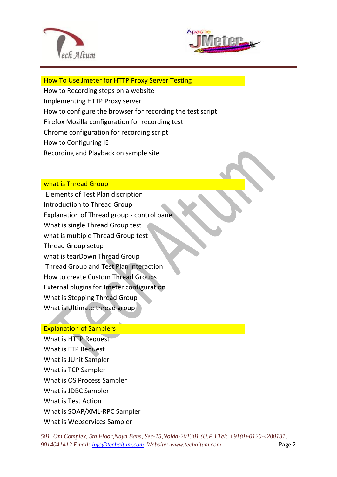



#### [How To Use Jmeter for HTTP Proxy Server Testing](http://www.guru99.com/how-to-use-jmeter-for-http-proxy-server-testing.html)

How to Recording steps on a website

 $\overline{a}$ 

Implementing HTTP Proxy server

- How to configure the browser for recording the test script
- Firefox Mozilla configuration for recording test
- Chrome configuration for recording script
- How to Configuring IE
- Recording and Playback on sample site

## what is Thread Group

Elements of Test Plan discription Introduction to Thread Group Explanation of Thread group - control panel What is single Thread Group test what is multiple Thread Group test Thread Group setup what is tearDown Thread Group Thread Group and Test Plan interaction How to create Custom Thread Groups External plugins for Jmeter configuration What is Stepping Thread Group What is Ultimate thread group

## Explanation of Samplers

What is HTTP Request What is FTP Request What is JUnit Sampler What is TCP Sampler What is OS Process Sampler What is JDBC Sampler What is Test Action What is SOAP/XML-RPC Sampler What is Webservices Sampler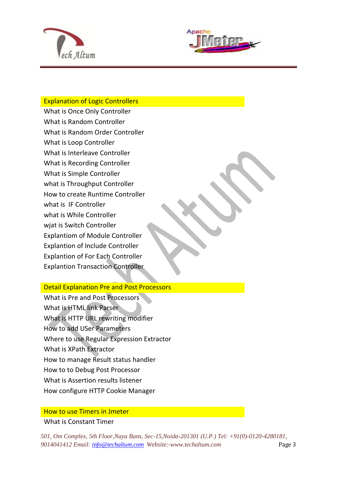



## Explanation of Logic Controllers

 $\overline{a}$ 

What is Once Only Controller What is Random Controller What is Random Order Controller What is Loop Controller What is Interleave Controller What is Recording Controller What is Simple Controller what is Throughput Controller How to create Runtime Controller what is IF Controller what is While Controller wjat is Switch Controller Explantiom of Module Controller Explantion of Include Controller Explantion of For Each Controller Explantion Transaction Controller

#### Detail Explanation Pre and Post Processors

What is Pre and Post Processors What is HTML link Parser What is HTTP URL rewriting modifier How to add USer Parameters Where to use Regular Expression Extractor What is XPath Extractor How to manage Result status handler How to to Debug Post Processor What is Assertion results listener How configure HTTP Cookie Manager

## How to use Timers in Jmeter What is Constant Timer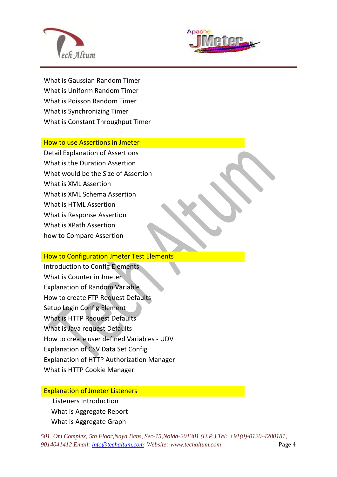



What is Gaussian Random Timer What is Uniform Random Timer What is Poisson Random Timer What is Synchronizing Timer What is Constant Throughput Timer

 $\overline{a}$ 

How to use Assertions in Jmeter

Detail Explanation of Assertions What is the Duration Assertion What would be the Size of Assertion What is XML Assertion What is XML Schema Assertion What is HTML Assertion What is Response Assertion What is XPath Assertion how to Compare Assertion

#### How to Configuration Jmeter Test Elements

Introduction to Config Elements What is Counter in Jmeter Explanation of Random Variable How to create FTP Request Defaults Setup Login Config Element What is HTTP Request Defaults What is Java request Defaults How to create user defined Variables - UDV Explanation of CSV Data Set Config Explanation of HTTP Authorization Manager What is HTTP Cookie Manager

#### Explanation of Jmeter Listeners

Listeners Introduction What is Aggregate Report What is Aggregate Graph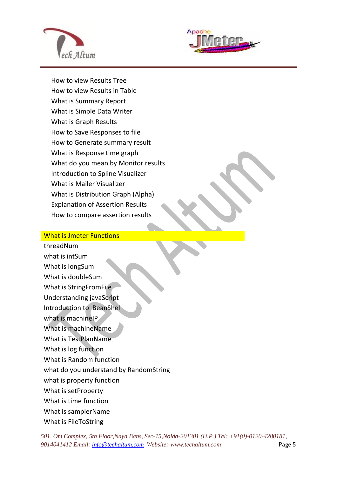



How to view Results Tree How to view Results in Table What is Summary Report What is Simple Data Writer What is Graph Results How to Save Responses to file How to Generate summary result What is Response time graph What do you mean by Monitor results Introduction to Spline Visualizer What is Mailer Visualizer What is Distribution Graph (Alpha) Explanation of Assertion Results How to compare assertion results

 $\overline{a}$ 

#### What is Jmeter Functions

threadNum what is intSum What is longSum What is doubleSum What is StringFromFile Understanding javaScript Introduction to BeanShell what is machineIP What is machineName What is TestPlanName What is log function What is Random function what do you understand by RandomString what is property function What is setProperty What is time function What is samplerName What is FileToString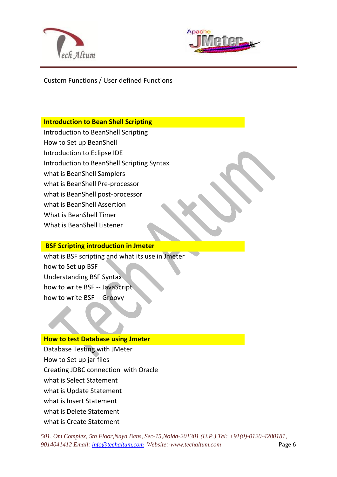



Custom Functions / User defined Functions

 $\overline{a}$ 

## **Introduction to Bean Shell Scripting**

- Introduction to BeanShell Scripting
- How to Set up BeanShell
- Introduction to Eclipse IDE
- Introduction to BeanShell Scripting Syntax
- what is BeanShell Samplers
- what is BeanShell Pre-processor
- what is BeanShell post-processor
- what is BeanShell Assertion
- What is BeanShell Timer
- What is BeanShell Listener

## **BSF Scripting introduction in Jmeter**

what is BSF scripting and what its use in Jmeter how to Set up BSF Understanding BSF Syntax how to write BSF -- JavaScript how to write BSF -- Groovy

## **How to test Database using Jmeter**

Database Testing with JMeter How to Set up jar files Creating JDBC connection with Oracle what is Select Statement what is Update Statement what is Insert Statement what is Delete Statement what is Create Statement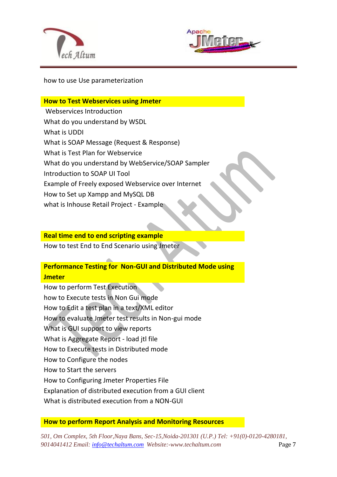



how to use Use parameterization

 $\overline{a}$ 

**How to Test Webservices using Jmeter** Webservices Introduction What do you understand by WSDL What is UDDI What is SOAP Message (Request & Response) What is Test Plan for Webservice What do you understand by WebService/SOAP Sampler Introduction to SOAP UI Tool Example of Freely exposed Webservice over Internet How to Set up Xampp and MySQL DB what is Inhouse Retail Project - Example

#### **Real time end to end scripting example**

How to test End to End Scenario using Jmeter

## **Performance Testing for Non-GUI and Distributed Mode using Jmeter**

How to perform Test Execution how to Execute tests in Non Gui mode How to Edit a test plan in a text/XML editor How to evaluate Jmeter test results in Non-gui mode What is GUI support to view reports What is Aggregate Report - load jtl file How to Execute tests in Distributed mode How to Configure the nodes How to Start the servers How to Configuring Jmeter Properties File Explanation of distributed execution from a GUI client What is distributed execution from a NON-GUI

## **How to perform Report Analysis and Monitoring Resources**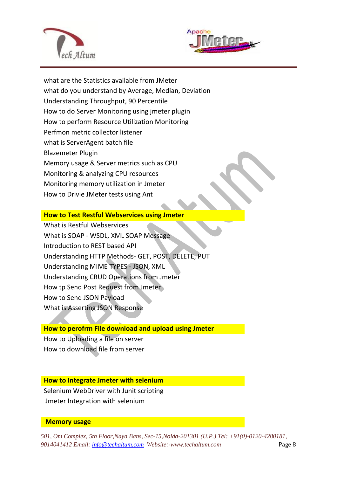

 $\overline{a}$ 



what are the Statistics available from JMeter what do you understand by Average, Median, Deviation Understanding Throughput, 90 Percentile How to do Server Monitoring using jmeter plugin How to perform Resource Utilization Monitoring Perfmon metric collector listener what is ServerAgent batch file Blazemeter Plugin Memory usage & Server metrics such as CPU Monitoring & analyzing CPU resources Monitoring memory utilization in Jmeter How to Drivie JMeter tests using Ant

#### **How to Test Restful Webservices using Jmeter**

What is Restful Webservices What is SOAP - WSDL, XML SOAP Message Introduction to REST based API Understanding HTTP Methods- GET, POST, DELETE, PUT Understanding MIME TYPES - JSON, XML Understanding CRUD Operations from Jmeter How tp Send Post Request from Jmeter How to Send JSON Payload What is Asserting JSON Response

#### **How to perofrm File download and upload using Jmeter**

How to Uploading a file on server How to download file from server

## **How to Integrate Jmeter with selenium**

Selenium WebDriver with Junit scripting Jmeter Integration with selenium

#### **Memory usage**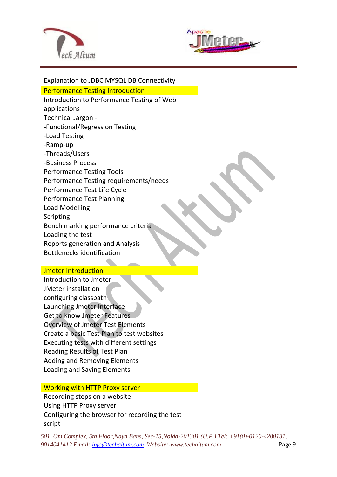

 $\overline{a}$ 



Explanation to JDBC MYSQL DB Connectivity Performance Testing Introduction Introduction to Performance Testing of Web applications Technical Jargon - -Functional/Regression Testing -Load Testing -Ramp-up -Threads/Users -Business Process Performance Testing Tools Performance Testing requirements/needs Performance Test Life Cycle Performance Test Planning Load Modelling Scripting Bench marking performance criteria Loading the test Reports generation and Analysis Bottlenecks identification

#### Jmeter Introduction

Introduction to Jmeter JMeter installation configuring classpath Launching Jmeter Interface Get to know Jmeter Features Overview of Jmeter Test Elements Create a basic Test Plan to test websites Executing tests with different settings Reading Results of Test Plan Adding and Removing Elements Loading and Saving Elements

#### Working with HTTP Proxy server

Recording steps on a website Using HTTP Proxy server Configuring the browser for recording the test script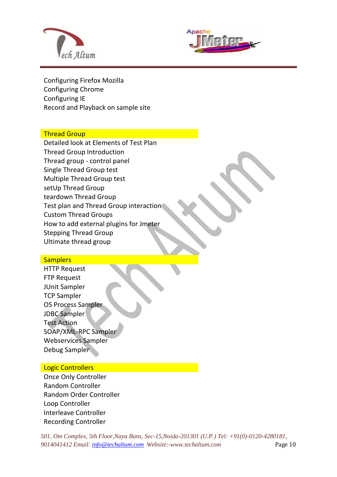



Configuring Firefox Mozilla Configuring Chrome Configuring IE Record and Playback on sample site

 $\overline{a}$ 

#### Thread Group

Detailed look at Elements of Test Plan Thread Group Introduction Thread group - control panel Single Thread Group test Multiple Thread Group test setUp Thread Group teardown Thread Group Test plan and Thread Group interaction Custom Thread Groups How to add external plugins for Jmeter Stepping Thread Group Ultimate thread group

#### **Samplers**

HTTP Request FTP Request JUnit Sampler TCP Sampler OS Process Sampler JDBC Sampler Test Action SOAP/XML-RPC Sampler Webservices Sampler Debug Sampler

#### Logic Controllers

Once Only Controller Random Controller Random Order Controller Loop Controller Interleave Controller Recording Controller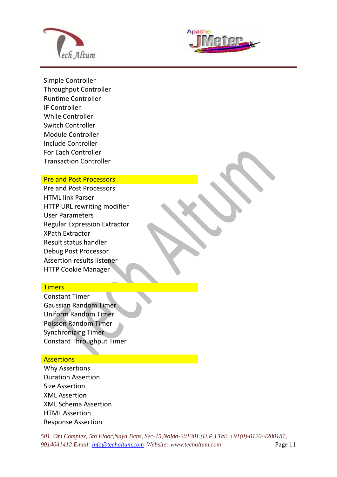



Simple Controller Throughput Controller Runtime Controller IF Controller While Controller Switch Controller Module Controller Include Controller For Each Controller Transaction Controller

 $\overline{a}$ 

#### Pre and Post Processors

Pre and Post Processors HTML link Parser HTTP URL rewriting modifier User Parameters Regular Expression Extractor XPath Extractor Result status handler Debug Post Processor Assertion results listener HTTP Cookie Manager

#### **Timers**

Constant Timer Gaussian Random Timer Uniform Random Timer Poisson Random Timer Synchronizing Timer Constant Throughput Timer

#### **Assertions**

Why Assertions Duration Assertion Size Assertion XML Assertion XML Schema Assertion HTML Assertion Response Assertion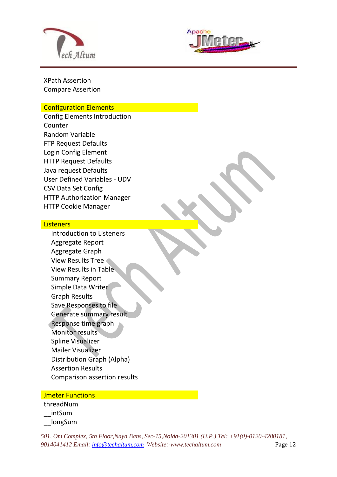



XPath Assertion Compare Assertion

#### Configuration Elements

Config Elements Introduction Counter Random Variable FTP Request Defaults Login Config Element HTTP Request Defaults Java request Defaults User Defined Variables - UDV CSV Data Set Config HTTP Authorization Manager HTTP Cookie Manager

 $\overline{a}$ 

#### **Listeners**

Introduction to Listeners Aggregate Report Aggregate Graph View Results Tree View Results in Table Summary Report Simple Data Writer Graph Results Save Responses to file Generate summary result Response time graph Monitor results Spline Visualizer Mailer Visualizer Distribution Graph (Alpha) Assertion Results Comparison assertion results

#### **Jmeter Functions**

threadNum \_\_intSum \_\_longSum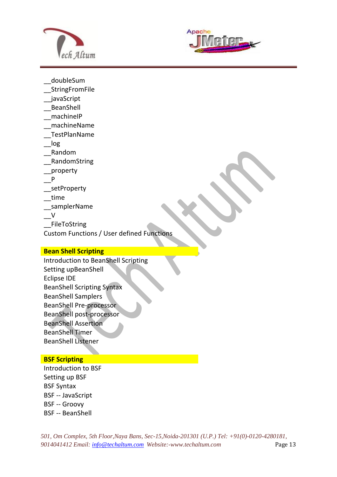



doubleSum

\_\_StringFromFile

- \_\_javaScript
- \_\_BeanShell
- \_\_machineIP
- \_\_machineName
- \_\_TestPlanName
- \_\_log
- \_\_Random
- \_\_RandomString
- \_\_property
- \_\_P
- \_setProperty
- \_\_time
- \_\_samplerName
- $\vee$
- \_\_FileToString
- Custom Functions / User defined Functions

#### **Bean Shell Scripting**

Introduction to BeanShell Scripting Setting upBeanShell Eclipse IDE BeanShell Scripting Syntax BeanShell Samplers BeanShell Pre-processor BeanShell post-processor BeanShell Assertion BeanShell Timer BeanShell Listener

## **BSF Scripting**

Introduction to BSF Setting up BSF BSF Syntax BSF -- JavaScript BSF -- Groovy BSF -- BeanShell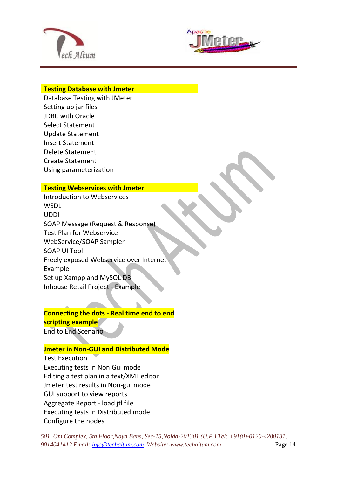



#### **Testing Database with Jmeter**

 $\overline{a}$ 

Database Testing with JMeter Setting up jar files JDBC with Oracle Select Statement Update Statement Insert Statement Delete Statement Create Statement Using parameterization

#### **Testing Webservices with Jmeter**

Introduction to Webservices **WSDL** UDDI SOAP Message (Request & Response) Test Plan for Webservice WebService/SOAP Sampler SOAP UI Tool Freely exposed Webservice over Internet - Example Set up Xampp and MySQL DB Inhouse Retail Project - Example

## **Connecting the dots - Real time end to end scripting example**

m.

End to End Scenario

## **Jmeter in Non-GUI and Distributed Mode**

Test Execution Executing tests in Non Gui mode Editing a test plan in a text/XML editor Jmeter test results in Non-gui mode GUI support to view reports Aggregate Report - load jtl file Executing tests in Distributed mode Configure the nodes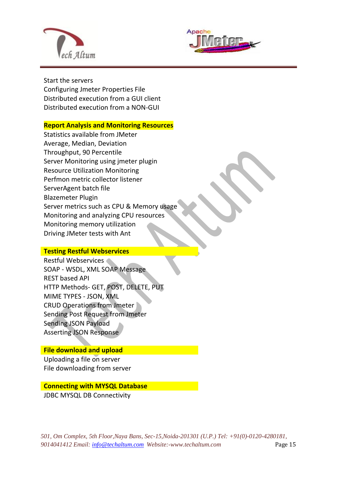



Start the servers Configuring Jmeter Properties File Distributed execution from a GUI client Distributed execution from a NON-GUI

 $\overline{a}$ 

#### **Report Analysis and Monitoring Resources**

Statistics available from JMeter Average, Median, Deviation Throughput, 90 Percentile Server Monitoring using jmeter plugin Resource Utilization Monitoring Perfmon metric collector listener ServerAgent batch file Blazemeter Plugin Server metrics such as CPU & Memory usage Monitoring and analyzing CPU resources Monitoring memory utilization Driving JMeter tests with Ant

#### **Testing Restful Webservices**

Restful Webservices SOAP - WSDL, XML SOAP Message REST based API HTTP Methods- GET, POST, DELETE, PUT MIME TYPES - JSON, XML CRUD Operations from Jmeter Sending Post Request from Jmeter Sending JSON Payload Asserting JSON Response

## **File download and upload**

Uploading a file on server File downloading from server

## **Connecting with MYSQL Database**

JDBC MYSQL DB Connectivity